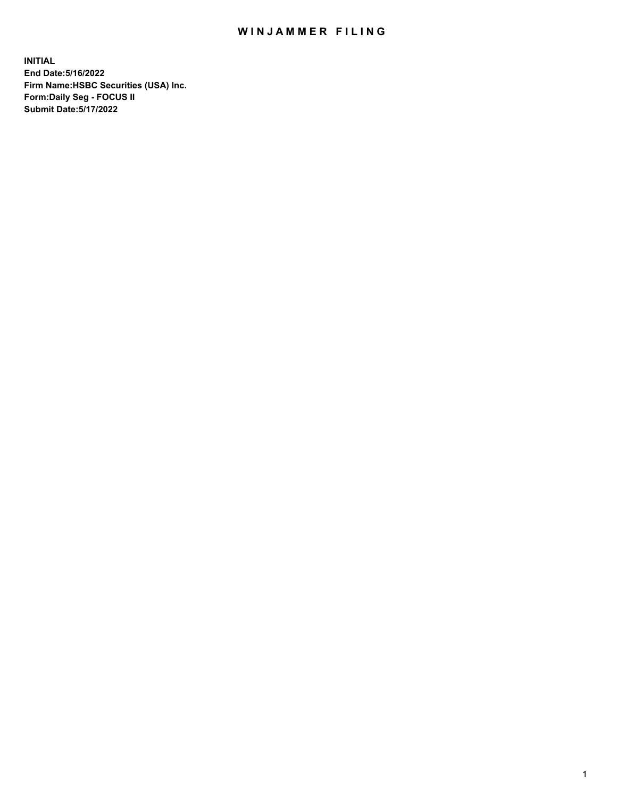## WIN JAMMER FILING

**INITIAL End Date:5/16/2022 Firm Name:HSBC Securities (USA) Inc. Form:Daily Seg - FOCUS II Submit Date:5/17/2022**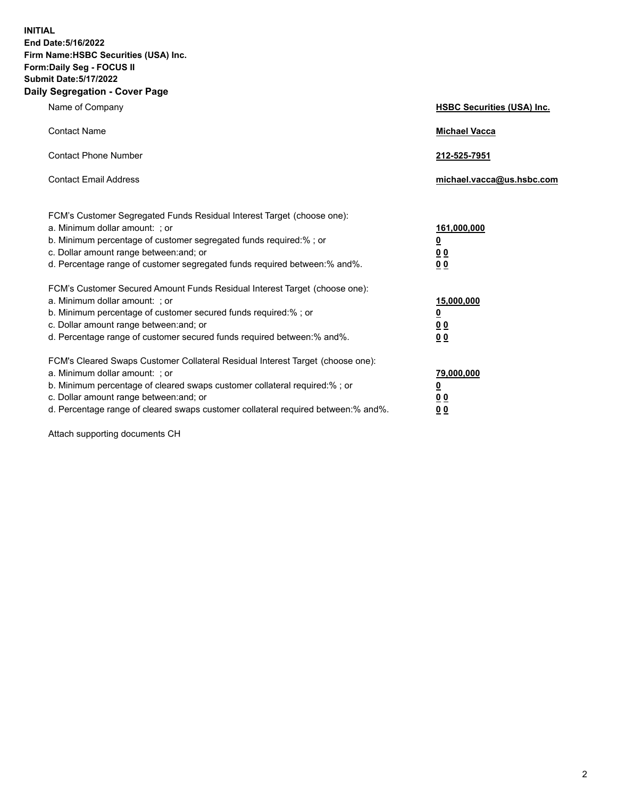**INITIAL End Date:5/16/2022 Firm Name:HSBC Securities (USA) Inc. Form:Daily Seg - FOCUS II Submit Date:5/17/2022 Daily Segregation - Cover Page**

| Name of Company                                                                                                                                                                                                                                                                                                               | <b>HSBC Securities (USA) Inc.</b>                           |
|-------------------------------------------------------------------------------------------------------------------------------------------------------------------------------------------------------------------------------------------------------------------------------------------------------------------------------|-------------------------------------------------------------|
| <b>Contact Name</b>                                                                                                                                                                                                                                                                                                           | <b>Michael Vacca</b>                                        |
| <b>Contact Phone Number</b>                                                                                                                                                                                                                                                                                                   | 212-525-7951                                                |
| <b>Contact Email Address</b>                                                                                                                                                                                                                                                                                                  | michael.vacca@us.hsbc.com                                   |
| FCM's Customer Segregated Funds Residual Interest Target (choose one):<br>a. Minimum dollar amount: ; or<br>b. Minimum percentage of customer segregated funds required:% ; or<br>c. Dollar amount range between: and; or<br>d. Percentage range of customer segregated funds required between:% and%.                        | 161,000,000<br><u>0</u><br>0 <sub>0</sub><br>0 <sub>0</sub> |
| FCM's Customer Secured Amount Funds Residual Interest Target (choose one):<br>a. Minimum dollar amount: ; or<br>b. Minimum percentage of customer secured funds required:%; or<br>c. Dollar amount range between: and; or<br>d. Percentage range of customer secured funds required between: % and %.                         | 15,000,000<br><u>0</u><br>0 <sub>0</sub><br>0 <sub>0</sub>  |
| FCM's Cleared Swaps Customer Collateral Residual Interest Target (choose one):<br>a. Minimum dollar amount: : or<br>b. Minimum percentage of cleared swaps customer collateral required:%; or<br>c. Dollar amount range between: and; or<br>d. Percentage range of cleared swaps customer collateral required between:% and%. | 79,000,000<br><u>0</u><br>00<br>00                          |

Attach supporting documents CH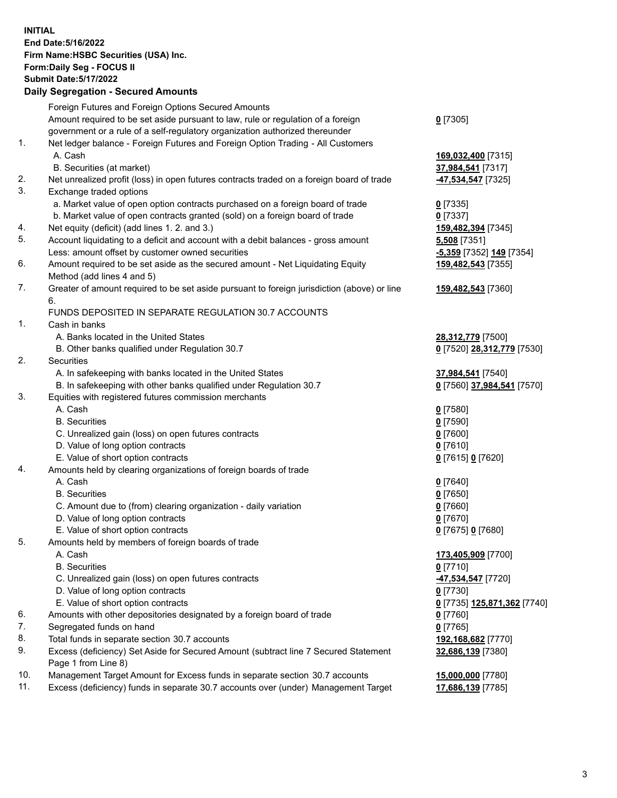**INITIAL End Date:5/16/2022 Firm Name:HSBC Securities (USA) Inc. Form:Daily Seg - FOCUS II Submit Date:5/17/2022 Daily Segregation - Secured Amounts** Foreign Futures and Foreign Options Secured Amounts Amount required to be set aside pursuant to law, rule or regulation of a foreign government or a rule of a self-regulatory organization authorized thereunder **0** [7305] 1. Net ledger balance - Foreign Futures and Foreign Option Trading - All Customers A. Cash **169,032,400** [7315] B. Securities (at market) **37,984,541** [7317] 2. Net unrealized profit (loss) in open futures contracts traded on a foreign board of trade **-47,534,547** [7325] 3. Exchange traded options a. Market value of open option contracts purchased on a foreign board of trade **0** [7335] b. Market value of open contracts granted (sold) on a foreign board of trade **0** [7337] 4. Net equity (deficit) (add lines 1. 2. and 3.) **159,482,394** [7345] 5. Account liquidating to a deficit and account with a debit balances - gross amount **5,508** [7351] Less: amount offset by customer owned securities **-5,359** [7352] **149** [7354] 6. Amount required to be set aside as the secured amount - Net Liquidating Equity Method (add lines 4 and 5) **159,482,543** [7355] 7. Greater of amount required to be set aside pursuant to foreign jurisdiction (above) or line 6. **159,482,543** [7360] FUNDS DEPOSITED IN SEPARATE REGULATION 30.7 ACCOUNTS 1. Cash in banks A. Banks located in the United States **28,312,779** [7500] B. Other banks qualified under Regulation 30.7 **0** [7520] **28,312,779** [7530] 2. Securities A. In safekeeping with banks located in the United States **37,984,541** [7540] B. In safekeeping with other banks qualified under Regulation 30.7 **0** [7560] **37,984,541** [7570] 3. Equities with registered futures commission merchants A. Cash **0** [7580] B. Securities **0** [7590] C. Unrealized gain (loss) on open futures contracts **0** [7600] D. Value of long option contracts **0** [7610] E. Value of short option contracts **0** [7615] **0** [7620] 4. Amounts held by clearing organizations of foreign boards of trade A. Cash **0** [7640] B. Securities **0** [7650] C. Amount due to (from) clearing organization - daily variation **0** [7660] D. Value of long option contracts **0** [7670] E. Value of short option contracts **0** [7675] **0** [7680] 5. Amounts held by members of foreign boards of trade A. Cash **173,405,909** [7700] B. Securities **0** [7710] C. Unrealized gain (loss) on open futures contracts **-47,534,547** [7720] D. Value of long option contracts **0** [7730]

- E. Value of short option contracts **0** [7735] **125,871,362** [7740]
- 6. Amounts with other depositories designated by a foreign board of trade **0** [7760]
- 7. Segregated funds on hand **0** [7765]
- 8. Total funds in separate section 30.7 accounts **192,168,682** [7770]
- 9. Excess (deficiency) Set Aside for Secured Amount (subtract line 7 Secured Statement Page 1 from Line 8)
- 10. Management Target Amount for Excess funds in separate section 30.7 accounts **15,000,000** [7780]
- 11. Excess (deficiency) funds in separate 30.7 accounts over (under) Management Target **17,686,139** [7785]

**32,686,139** [7380]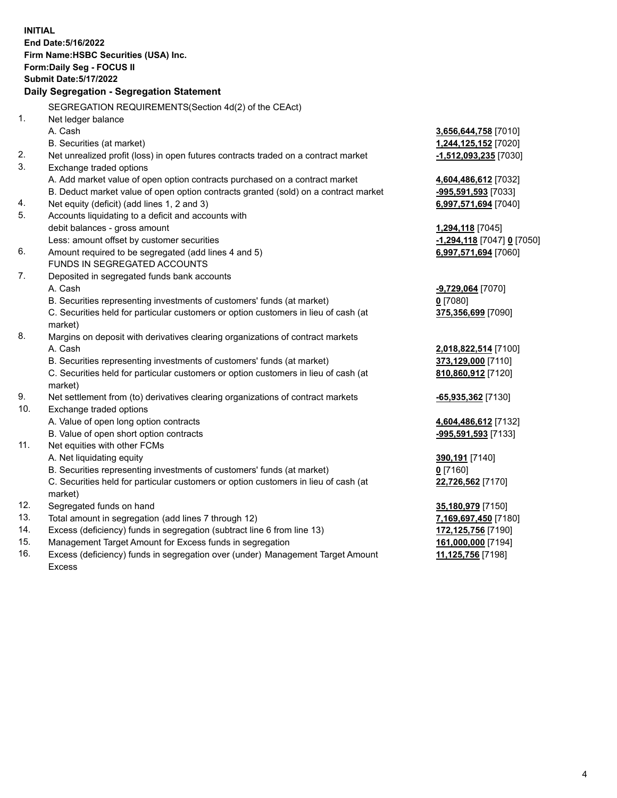**INITIAL End Date:5/16/2022 Firm Name:HSBC Securities (USA) Inc. Form:Daily Seg - FOCUS II Submit Date:5/17/2022 Daily Segregation - Segregation Statement** SEGREGATION REQUIREMENTS(Section 4d(2) of the CEAct) 1. Net ledger balance A. Cash **3,656,644,758** [7010] B. Securities (at market) **1,244,125,152** [7020] 2. Net unrealized profit (loss) in open futures contracts traded on a contract market **-1,512,093,235** [7030] 3. Exchange traded options A. Add market value of open option contracts purchased on a contract market **4,604,486,612** [7032] B. Deduct market value of open option contracts granted (sold) on a contract market **-995,591,593** [7033] 4. Net equity (deficit) (add lines 1, 2 and 3) **6,997,571,694** [7040] 5. Accounts liquidating to a deficit and accounts with debit balances - gross amount **1,294,118** [7045] Less: amount offset by customer securities **-1,294,118** [7047] **0** [7050] 6. Amount required to be segregated (add lines 4 and 5) **6,997,571,694** [7060] FUNDS IN SEGREGATED ACCOUNTS 7. Deposited in segregated funds bank accounts A. Cash **-9,729,064** [7070] B. Securities representing investments of customers' funds (at market) **0** [7080] C. Securities held for particular customers or option customers in lieu of cash (at market) **375,356,699** [7090] 8. Margins on deposit with derivatives clearing organizations of contract markets A. Cash **2,018,822,514** [7100] B. Securities representing investments of customers' funds (at market) **373,129,000** [7110] C. Securities held for particular customers or option customers in lieu of cash (at market) **810,860,912** [7120] 9. Net settlement from (to) derivatives clearing organizations of contract markets **-65,935,362** [7130] 10. Exchange traded options A. Value of open long option contracts **4,604,486,612** [7132] B. Value of open short option contracts **-995,591,593** [7133] 11. Net equities with other FCMs A. Net liquidating equity **390,191** [7140] B. Securities representing investments of customers' funds (at market) **0** [7160] C. Securities held for particular customers or option customers in lieu of cash (at market) **22,726,562** [7170] 12. Segregated funds on hand **35,180,979** [7150] 13. Total amount in segregation (add lines 7 through 12) **7,169,697,450** [7180] 14. Excess (deficiency) funds in segregation (subtract line 6 from line 13) **172,125,756** [7190] 15. Management Target Amount for Excess funds in segregation **161,000,000** [7194]

16. Excess (deficiency) funds in segregation over (under) Management Target Amount Excess

**11,125,756** [7198]